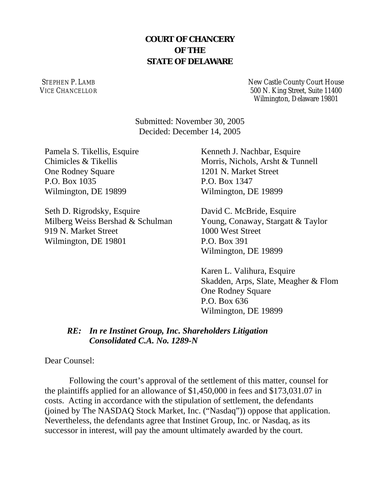# **COURT OF CHANCERY OF THE STATE OF DELAWARE**

STEPHEN P. LAMB VICE CHANCELLOR New Castle County Court House 500 N. King Street, Suite 11400 Wilmington, Delaware 19801

Submitted: November 30, 2005 Decided: December 14, 2005

Pamela S. Tikellis, Esquire Chimicles & Tikellis One Rodney Square P.O. Box 1035 Wilmington, DE 19899

Seth D. Rigrodsky, Esquire Milberg Weiss Bershad & Schulman 919 N. Market Street Wilmington, DE 19801

Kenneth J. Nachbar, Esquire Morris, Nichols, Arsht & Tunnell 1201 N. Market Street P.O. Box 1347 Wilmington, DE 19899

David C. McBride, Esquire Young, Conaway, Stargatt & Taylor 1000 West Street P.O. Box 391 Wilmington, DE 19899

Karen L. Valihura, Esquire Skadden, Arps, Slate, Meagher & Flom **One Rodney Square** P.O. Box 636 Wilmington, DE 19899

## *RE: In re Instinet Group, Inc. Shareholders Litigation Consolidated C.A. No. 1289-N*

Dear Counsel:

 Following the court's approval of the settlement of this matter, counsel for the plaintiffs applied for an allowance of \$1,450,000 in fees and \$173,031.07 in costs. Acting in accordance with the stipulation of settlement, the defendants (joined by The NASDAQ Stock Market, Inc. ("Nasdaq")) oppose that application. Nevertheless, the defendants agree that Instinet Group, Inc. or Nasdaq, as its successor in interest, will pay the amount ultimately awarded by the court.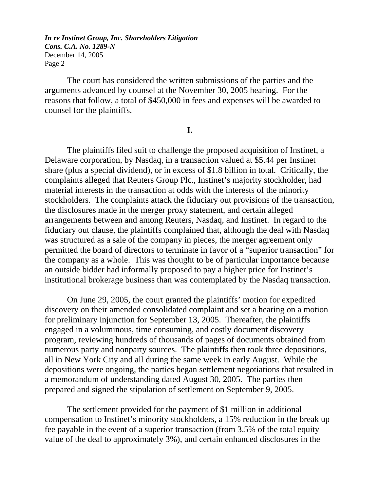The court has considered the written submissions of the parties and the arguments advanced by counsel at the November 30, 2005 hearing. For the reasons that follow, a total of \$450,000 in fees and expenses will be awarded to counsel for the plaintiffs.

#### **I.**

The plaintiffs filed suit to challenge the proposed acquisition of Instinet, a Delaware corporation, by Nasdaq, in a transaction valued at \$5.44 per Instinet share (plus a special dividend), or in excess of \$1.8 billion in total. Critically, the complaints alleged that Reuters Group Plc., Instinet's majority stockholder, had material interests in the transaction at odds with the interests of the minority stockholders. The complaints attack the fiduciary out provisions of the transaction, the disclosures made in the merger proxy statement, and certain alleged arrangements between and among Reuters, Nasdaq, and Instinet. In regard to the fiduciary out clause, the plaintiffs complained that, although the deal with Nasdaq was structured as a sale of the company in pieces, the merger agreement only permitted the board of directors to terminate in favor of a "superior transaction" for the company as a whole. This was thought to be of particular importance because an outside bidder had informally proposed to pay a higher price for Instinet's institutional brokerage business than was contemplated by the Nasdaq transaction.

On June 29, 2005, the court granted the plaintiffs' motion for expedited discovery on their amended consolidated complaint and set a hearing on a motion for preliminary injunction for September 13, 2005. Thereafter, the plaintiffs engaged in a voluminous, time consuming, and costly document discovery program, reviewing hundreds of thousands of pages of documents obtained from numerous party and nonparty sources. The plaintiffs then took three depositions, all in New York City and all during the same week in early August. While the depositions were ongoing, the parties began settlement negotiations that resulted in a memorandum of understanding dated August 30, 2005. The parties then prepared and signed the stipulation of settlement on September 9, 2005.

The settlement provided for the payment of \$1 million in additional compensation to Instinet's minority stockholders, a 15% reduction in the break up fee payable in the event of a superior transaction (from 3.5% of the total equity value of the deal to approximately 3%), and certain enhanced disclosures in the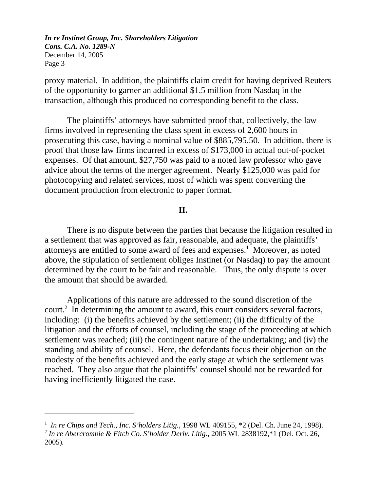proxy material. In addition, the plaintiffs claim credit for having deprived Reuters of the opportunity to garner an additional \$1.5 million from Nasdaq in the transaction, although this produced no corresponding benefit to the class.

The plaintiffs' attorneys have submitted proof that, collectively, the law firms involved in representing the class spent in excess of 2,600 hours in prosecuting this case, having a nominal value of \$885,795.50. In addition, there is proof that those law firms incurred in excess of \$173,000 in actual out-of-pocket expenses. Of that amount, \$27,750 was paid to a noted law professor who gave advice about the terms of the merger agreement. Nearly \$125,000 was paid for photocopying and related services, most of which was spent converting the document production from electronic to paper format.

#### **II.**

There is no dispute between the parties that because the litigation resulted in a settlement that was approved as fair, reasonable, and adequate, the plaintiffs' attorneys are entitled to some award of fees and expenses.<sup>1</sup> Moreover, as noted above, the stipulation of settlement obliges Instinet (or Nasdaq) to pay the amount determined by the court to be fair and reasonable. Thus, the only dispute is over the amount that should be awarded.

Applications of this nature are addressed to the sound discretion of the court. $2$  In determining the amount to award, this court considers several factors, including: (i) the benefits achieved by the settlement; (ii) the difficulty of the litigation and the efforts of counsel, including the stage of the proceeding at which settlement was reached; (iii) the contingent nature of the undertaking; and (iv) the standing and ability of counsel. Here, the defendants focus their objection on the modesty of the benefits achieved and the early stage at which the settlement was reached. They also argue that the plaintiffs' counsel should not be rewarded for having inefficiently litigated the case.

<sup>&</sup>lt;sup>1</sup> In re Chips and Tech., Inc. S'holders Litig., 1998 WL 409155, \*2 (Del. Ch. June 24, 1998). <sup>2</sup> *In re Abercrombie & Fitch Co. S'holder Deriv. Litig.,* 2005 WL 2838192,\*1 (Del. Oct. 26, 2005)*.*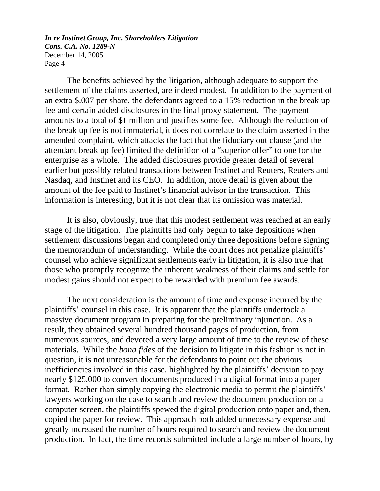The benefits achieved by the litigation, although adequate to support the settlement of the claims asserted, are indeed modest. In addition to the payment of an extra \$.007 per share, the defendants agreed to a 15% reduction in the break up fee and certain added disclosures in the final proxy statement. The payment amounts to a total of \$1 million and justifies some fee. Although the reduction of the break up fee is not immaterial, it does not correlate to the claim asserted in the amended complaint, which attacks the fact that the fiduciary out clause (and the attendant break up fee) limited the definition of a "superior offer" to one for the enterprise as a whole. The added disclosures provide greater detail of several earlier but possibly related transactions between Instinet and Reuters, Reuters and Nasdaq, and Instinet and its CEO. In addition, more detail is given about the amount of the fee paid to Instinet's financial advisor in the transaction. This information is interesting, but it is not clear that its omission was material.

It is also, obviously, true that this modest settlement was reached at an early stage of the litigation. The plaintiffs had only begun to take depositions when settlement discussions began and completed only three depositions before signing the memorandum of understanding. While the court does not penalize plaintiffs' counsel who achieve significant settlements early in litigation, it is also true that those who promptly recognize the inherent weakness of their claims and settle for modest gains should not expect to be rewarded with premium fee awards.

The next consideration is the amount of time and expense incurred by the plaintiffs' counsel in this case. It is apparent that the plaintiffs undertook a massive document program in preparing for the preliminary injunction. As a result, they obtained several hundred thousand pages of production, from numerous sources, and devoted a very large amount of time to the review of these materials. While the *bona fides* of the decision to litigate in this fashion is not in question, it is not unreasonable for the defendants to point out the obvious inefficiencies involved in this case, highlighted by the plaintiffs' decision to pay nearly \$125,000 to convert documents produced in a digital format into a paper format. Rather than simply copying the electronic media to permit the plaintiffs' lawyers working on the case to search and review the document production on a computer screen, the plaintiffs spewed the digital production onto paper and, then, copied the paper for review. This approach both added unnecessary expense and greatly increased the number of hours required to search and review the document production. In fact, the time records submitted include a large number of hours, by